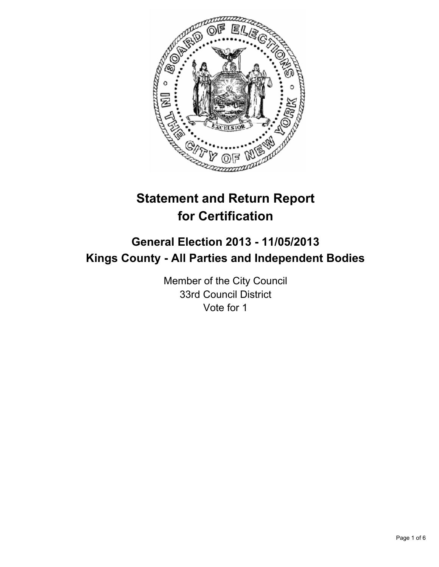

# **Statement and Return Report for Certification**

## **General Election 2013 - 11/05/2013 Kings County - All Parties and Independent Bodies**

Member of the City Council 33rd Council District Vote for 1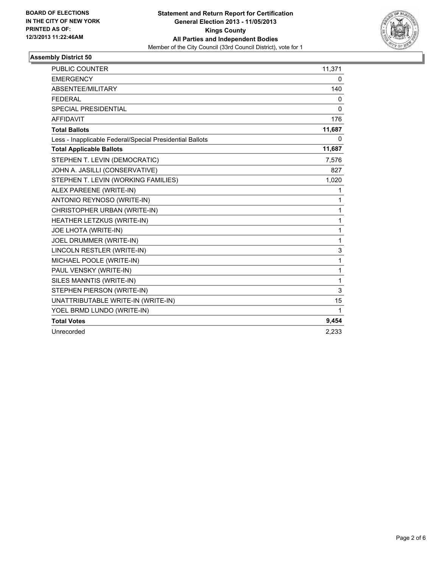

### **Assembly District 50**

| PUBLIC COUNTER                                           | 11,371 |
|----------------------------------------------------------|--------|
| <b>EMERGENCY</b>                                         | 0      |
| ABSENTEE/MILITARY                                        | 140    |
| <b>FEDERAL</b>                                           | 0      |
| SPECIAL PRESIDENTIAL                                     | 0      |
| <b>AFFIDAVIT</b>                                         | 176    |
| <b>Total Ballots</b>                                     | 11,687 |
| Less - Inapplicable Federal/Special Presidential Ballots | 0      |
| <b>Total Applicable Ballots</b>                          | 11,687 |
| STEPHEN T. LEVIN (DEMOCRATIC)                            | 7,576  |
| JOHN A. JASILLI (CONSERVATIVE)                           | 827    |
| STEPHEN T. LEVIN (WORKING FAMILIES)                      | 1,020  |
| ALEX PAREENE (WRITE-IN)                                  | 1      |
| ANTONIO REYNOSO (WRITE-IN)                               | 1      |
| CHRISTOPHER URBAN (WRITE-IN)                             | 1      |
| HEATHER LETZKUS (WRITE-IN)                               | 1      |
| <b>JOE LHOTA (WRITE-IN)</b>                              | 1      |
| JOEL DRUMMER (WRITE-IN)                                  | 1      |
| LINCOLN RESTLER (WRITE-IN)                               | 3      |
| MICHAEL POOLE (WRITE-IN)                                 | 1      |
| PAUL VENSKY (WRITE-IN)                                   | 1      |
| SILES MANNTIS (WRITE-IN)                                 | 1      |
| STEPHEN PIERSON (WRITE-IN)                               | 3      |
| UNATTRIBUTABLE WRITE-IN (WRITE-IN)                       | 15     |
| YOEL BRMD LUNDO (WRITE-IN)                               | 1      |
| <b>Total Votes</b>                                       | 9,454  |
| Unrecorded                                               | 2.233  |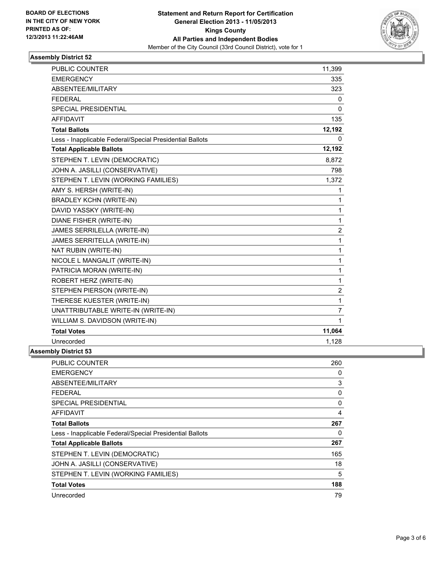

## **Assembly District 52**

| <b>PUBLIC COUNTER</b>                                    | 11,399         |
|----------------------------------------------------------|----------------|
| <b>EMERGENCY</b>                                         | 335            |
| ABSENTEE/MILITARY                                        | 323            |
| <b>FEDERAL</b>                                           | 0              |
| SPECIAL PRESIDENTIAL                                     | $\Omega$       |
| <b>AFFIDAVIT</b>                                         | 135            |
| <b>Total Ballots</b>                                     | 12,192         |
| Less - Inapplicable Federal/Special Presidential Ballots | 0              |
| <b>Total Applicable Ballots</b>                          | 12,192         |
| STEPHEN T. LEVIN (DEMOCRATIC)                            | 8,872          |
| JOHN A. JASILLI (CONSERVATIVE)                           | 798            |
| STEPHEN T. LEVIN (WORKING FAMILIES)                      | 1,372          |
| AMY S. HERSH (WRITE-IN)                                  | 1              |
| <b>BRADLEY KCHN (WRITE-IN)</b>                           | 1              |
| DAVID YASSKY (WRITE-IN)                                  | 1              |
| DIANE FISHER (WRITE-IN)                                  | $\mathbf{1}$   |
| JAMES SERRILELLA (WRITE-IN)                              | $\overline{c}$ |
| JAMES SERRITELLA (WRITE-IN)                              | 1              |
| NAT RUBIN (WRITE-IN)                                     | 1              |
| NICOLE L MANGALIT (WRITE-IN)                             | 1              |
| PATRICIA MORAN (WRITE-IN)                                | 1              |
| ROBERT HERZ (WRITE-IN)                                   | 1              |
| STEPHEN PIERSON (WRITE-IN)                               | $\overline{2}$ |
| THERESE KUESTER (WRITE-IN)                               | 1              |
| UNATTRIBUTABLE WRITE-IN (WRITE-IN)                       | $\overline{7}$ |
| WILLIAM S. DAVIDSON (WRITE-IN)                           | 1              |
| <b>Total Votes</b>                                       | 11,064         |
| Unrecorded                                               | 1,128          |
| <b>Assembly District 53</b>                              |                |

| <b>PUBLIC COUNTER</b>                                    | 260 |
|----------------------------------------------------------|-----|
| <b>EMERGENCY</b>                                         | 0   |
| ABSENTEE/MILITARY                                        | 3   |
| <b>FEDERAL</b>                                           | 0   |
| <b>SPECIAL PRESIDENTIAL</b>                              | 0   |
| AFFIDAVIT                                                | 4   |
| <b>Total Ballots</b>                                     | 267 |
| Less - Inapplicable Federal/Special Presidential Ballots | 0   |
| <b>Total Applicable Ballots</b>                          | 267 |
| STEPHEN T. LEVIN (DEMOCRATIC)                            | 165 |
| JOHN A. JASILLI (CONSERVATIVE)                           | 18  |
| STEPHEN T. LEVIN (WORKING FAMILIES)                      | 5   |
| <b>Total Votes</b>                                       | 188 |
| Unrecorded                                               | 79  |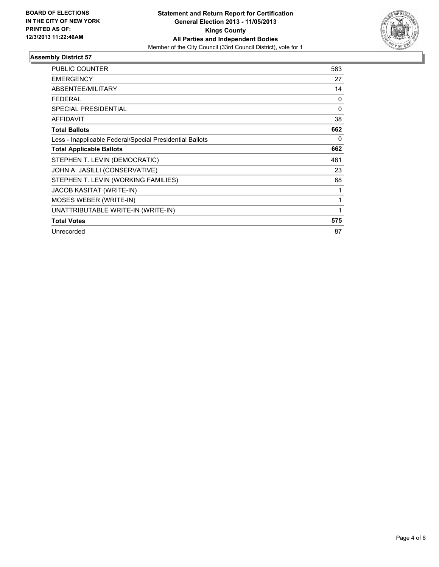

### **Assembly District 57**

| <b>PUBLIC COUNTER</b>                                    | 583      |
|----------------------------------------------------------|----------|
| <b>EMERGENCY</b>                                         | 27       |
| <b>ABSENTEE/MILITARY</b>                                 | 14       |
| <b>FEDERAL</b>                                           | 0        |
| SPECIAL PRESIDENTIAL                                     | $\Omega$ |
| <b>AFFIDAVIT</b>                                         | 38       |
| <b>Total Ballots</b>                                     | 662      |
| Less - Inapplicable Federal/Special Presidential Ballots | 0        |
| <b>Total Applicable Ballots</b>                          | 662      |
| STEPHEN T. LEVIN (DEMOCRATIC)                            | 481      |
| JOHN A. JASILLI (CONSERVATIVE)                           | 23       |
| STEPHEN T. LEVIN (WORKING FAMILIES)                      | 68       |
| <b>JACOB KASITAT (WRITE-IN)</b>                          |          |
| MOSES WEBER (WRITE-IN)                                   | 1        |
| UNATTRIBUTABLE WRITE-IN (WRITE-IN)                       | 1        |
| <b>Total Votes</b>                                       | 575      |
| Unrecorded                                               | 87       |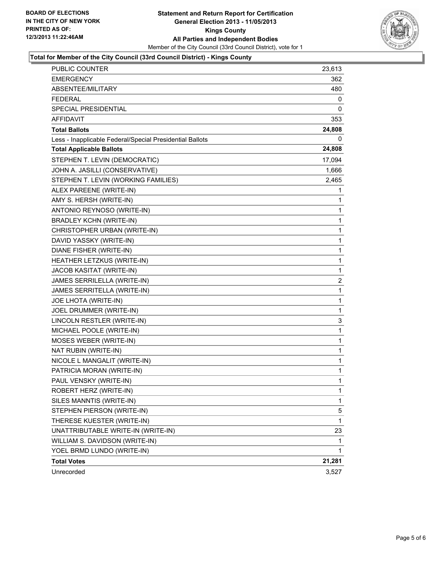

### **Total for Member of the City Council (33rd Council District) - Kings County**

| PUBLIC COUNTER                                           | 23,613         |
|----------------------------------------------------------|----------------|
| EMERGENCY                                                | 362            |
| ABSENTEE/MILITARY                                        | 480            |
| FEDERAL                                                  | 0              |
| SPECIAL PRESIDENTIAL                                     | 0              |
| <b>AFFIDAVIT</b>                                         | 353            |
| <b>Total Ballots</b>                                     | 24,808         |
| Less - Inapplicable Federal/Special Presidential Ballots | 0              |
| <b>Total Applicable Ballots</b>                          | 24,808         |
| STEPHEN T. LEVIN (DEMOCRATIC)                            | 17,094         |
| JOHN A. JASILLI (CONSERVATIVE)                           | 1,666          |
| STEPHEN T. LEVIN (WORKING FAMILIES)                      | 2,465          |
| ALEX PAREENE (WRITE-IN)                                  | 1              |
| AMY S. HERSH (WRITE-IN)                                  | 1              |
| ANTONIO REYNOSO (WRITE-IN)                               | 1              |
| <b>BRADLEY KCHN (WRITE-IN)</b>                           | 1              |
| CHRISTOPHER URBAN (WRITE-IN)                             | 1              |
| DAVID YASSKY (WRITE-IN)                                  | 1              |
| DIANE FISHER (WRITE-IN)                                  | 1              |
| HEATHER LETZKUS (WRITE-IN)                               | 1              |
| JACOB KASITAT (WRITE-IN)                                 | 1              |
| JAMES SERRILELLA (WRITE-IN)                              | $\overline{2}$ |
| JAMES SERRITELLA (WRITE-IN)                              | 1              |
| JOE LHOTA (WRITE-IN)                                     | $\mathbf{1}$   |
| JOEL DRUMMER (WRITE-IN)                                  | 1              |
| LINCOLN RESTLER (WRITE-IN)                               | 3              |
| MICHAEL POOLE (WRITE-IN)                                 | 1              |
| MOSES WEBER (WRITE-IN)                                   | 1              |
| NAT RUBIN (WRITE-IN)                                     | 1              |
| NICOLE L MANGALIT (WRITE-IN)                             | $\mathbf{1}$   |
| PATRICIA MORAN (WRITE-IN)                                | 1              |
| PAUL VENSKY (WRITE-IN)                                   | 1              |
| ROBERT HERZ (WRITE-IN)                                   | 1              |
| SILES MANNTIS (WRITE-IN)                                 | 1              |
| STEPHEN PIERSON (WRITE-IN)                               | 5              |
| THERESE KUESTER (WRITE-IN)                               | 1              |
| UNATTRIBUTABLE WRITE-IN (WRITE-IN)                       | 23             |
| WILLIAM S. DAVIDSON (WRITE-IN)                           | 1              |
| YOEL BRMD LUNDO (WRITE-IN)                               | 1.             |
| <b>Total Votes</b>                                       | 21,281         |
| Unrecorded                                               | 3,527          |